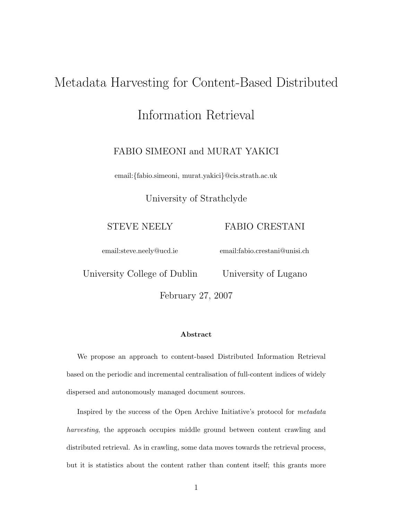# Metadata Harvesting for Content-Based Distributed

# Information Retrieval

## FABIO SIMEONI and MURAT YAKICI

email:*{*fabio.simeoni, murat.yakici*}*@cis.strath.ac.uk

University of Strathclyde

STEVE NEELY

FABIO CRESTANI

email:steve.neely@ucd.ie

email:fabio.crestani@unisi.ch

University College of Dublin

University of Lugano

February 27, 2007

#### **Abstract**

We propose an approach to content-based Distributed Information Retrieval based on the periodic and incremental centralisation of full-content indices of widely dispersed and autonomously managed document sources.

Inspired by the success of the Open Archive Initiative's protocol for *metadata harvesting*, the approach occupies middle ground between content crawling and distributed retrieval. As in crawling, some data moves towards the retrieval process, but it is statistics about the content rather than content itself; this grants more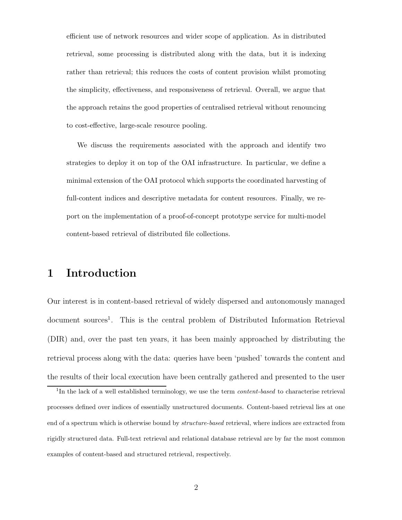efficient use of network resources and wider scope of application. As in distributed retrieval, some processing is distributed along with the data, but it is indexing rather than retrieval; this reduces the costs of content provision whilst promoting the simplicity, effectiveness, and responsiveness of retrieval. Overall, we argue that the approach retains the good properties of centralised retrieval without renouncing to cost-effective, large-scale resource pooling.

We discuss the requirements associated with the approach and identify two strategies to deploy it on top of the OAI infrastructure. In particular, we define a minimal extension of the OAI protocol which supports the coordinated harvesting of full-content indices and descriptive metadata for content resources. Finally, we report on the implementation of a proof-of-concept prototype service for multi-model content-based retrieval of distributed file collections.

# **1 Introduction**

Our interest is in content-based retrieval of widely dispersed and autonomously managed document sources<sup>1</sup>. This is the central problem of Distributed Information Retrieval (DIR) and, over the past ten years, it has been mainly approached by distributing the retrieval process along with the data: queries have been 'pushed' towards the content and the results of their local execution have been centrally gathered and presented to the user

<sup>1</sup>In the lack of a well established terminology, we use the term *content-based* to characterise retrieval processes defined over indices of essentially unstructured documents. Content-based retrieval lies at one end of a spectrum which is otherwise bound by *structure-based* retrieval, where indices are extracted from rigidly structured data. Full-text retrieval and relational database retrieval are by far the most common examples of content-based and structured retrieval, respectively.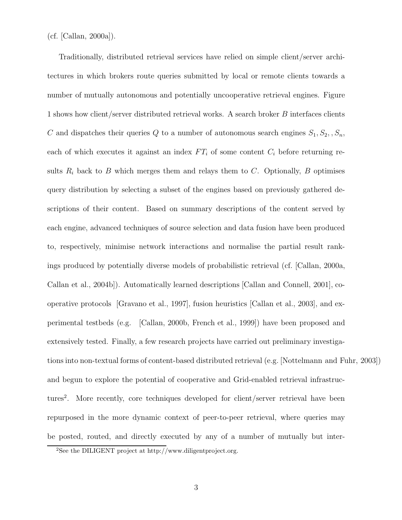(cf. [Callan, 2000a]).

Traditionally, distributed retrieval services have relied on simple client/server architectures in which brokers route queries submitted by local or remote clients towards a number of mutually autonomous and potentially uncooperative retrieval engines. Figure 1 shows how client/server distributed retrieval works. A search broker *B* interfaces clients *C* and dispatches their queries *Q* to a number of autonomous search engines  $S_1, S_2, S_n$ , each of which executes it against an index  $FT_i$  of some content  $C_i$  before returning results  $R_i$  back to  $B$  which merges them and relays them to  $C$ . Optionally,  $B$  optimises query distribution by selecting a subset of the engines based on previously gathered descriptions of their content. Based on summary descriptions of the content served by each engine, advanced techniques of source selection and data fusion have been produced to, respectively, minimise network interactions and normalise the partial result rankings produced by potentially diverse models of probabilistic retrieval (cf. [Callan, 2000a, Callan et al., 2004b]). Automatically learned descriptions [Callan and Connell, 2001], cooperative protocols [Gravano et al., 1997], fusion heuristics [Callan et al., 2003], and experimental testbeds (e.g. [Callan, 2000b, French et al., 1999]) have been proposed and extensively tested. Finally, a few research projects have carried out preliminary investigations into non-textual forms of content-based distributed retrieval (e.g. [Nottelmann and Fuhr, 2003]) and begun to explore the potential of cooperative and Grid-enabled retrieval infrastructures<sup>2</sup>. More recently, core techniques developed for client/server retrieval have been repurposed in the more dynamic context of peer-to-peer retrieval, where queries may be posted, routed, and directly executed by any of a number of mutually but inter-

<sup>2</sup>See the DILIGENT project at http://www.diligentproject.org.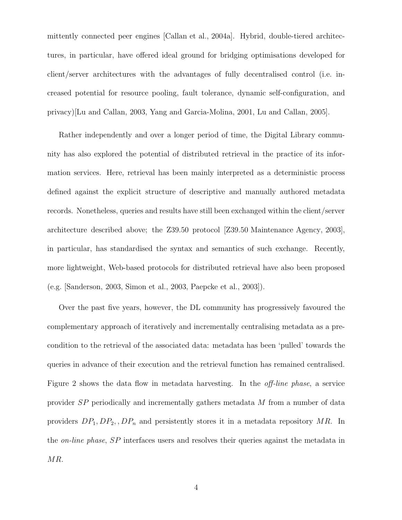mittently connected peer engines [Callan et al., 2004a]. Hybrid, double-tiered architectures, in particular, have offered ideal ground for bridging optimisations developed for client/server architectures with the advantages of fully decentralised control (i.e. increased potential for resource pooling, fault tolerance, dynamic self-configuration, and privacy)[Lu and Callan, 2003, Yang and Garcia-Molina, 2001, Lu and Callan, 2005].

Rather independently and over a longer period of time, the Digital Library community has also explored the potential of distributed retrieval in the practice of its information services. Here, retrieval has been mainly interpreted as a deterministic process defined against the explicit structure of descriptive and manually authored metadata records. Nonetheless, queries and results have still been exchanged within the client/server architecture described above; the Z39.50 protocol [Z39.50 Maintenance Agency, 2003], in particular, has standardised the syntax and semantics of such exchange. Recently, more lightweight, Web-based protocols for distributed retrieval have also been proposed (e.g. [Sanderson, 2003, Simon et al., 2003, Paepcke et al., 2003]).

Over the past five years, however, the DL community has progressively favoured the complementary approach of iteratively and incrementally centralising metadata as a precondition to the retrieval of the associated data: metadata has been 'pulled' towards the queries in advance of their execution and the retrieval function has remained centralised. Figure 2 shows the data flow in metadata harvesting. In the off-line phase, a service provider *SP* periodically and incrementally gathers metadata *M* from a number of data providers *DP*1*, DP*2*, , DP<sup>n</sup>* and persistently stores it in a metadata repository *MR*. In the on-line phase, *SP* interfaces users and resolves their queries against the metadata in *MR*.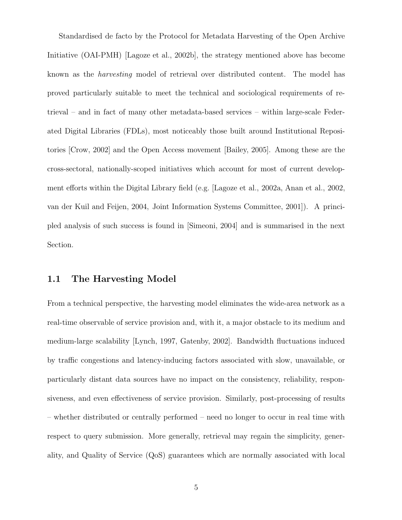Standardised de facto by the Protocol for Metadata Harvesting of the Open Archive Initiative (OAI-PMH) [Lagoze et al., 2002b], the strategy mentioned above has become known as the harvesting model of retrieval over distributed content. The model has proved particularly suitable to meet the technical and sociological requirements of retrieval – and in fact of many other metadata-based services – within large-scale Federated Digital Libraries (FDLs), most noticeably those built around Institutional Repositories [Crow, 2002] and the Open Access movement [Bailey, 2005]. Among these are the cross-sectoral, nationally-scoped initiatives which account for most of current development efforts within the Digital Library field (e.g. [Lagoze et al., 2002a, Anan et al., 2002, van der Kuil and Feijen, 2004, Joint Information Systems Committee, 2001]). A principled analysis of such success is found in [Simeoni, 2004] and is summarised in the next Section.

#### **1.1 The Harvesting Model**

From a technical perspective, the harvesting model eliminates the wide-area network as a real-time observable of service provision and, with it, a major obstacle to its medium and medium-large scalability [Lynch, 1997, Gatenby, 2002]. Bandwidth fluctuations induced by traffic congestions and latency-inducing factors associated with slow, unavailable, or particularly distant data sources have no impact on the consistency, reliability, responsiveness, and even effectiveness of service provision. Similarly, post-processing of results – whether distributed or centrally performed – need no longer to occur in real time with respect to query submission. More generally, retrieval may regain the simplicity, generality, and Quality of Service (QoS) guarantees which are normally associated with local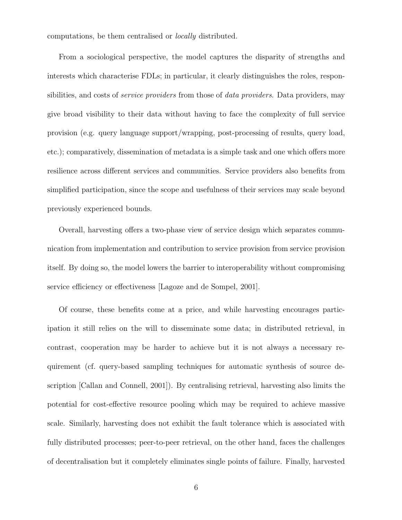computations, be them centralised or locally distributed.

From a sociological perspective, the model captures the disparity of strengths and interests which characterise FDLs; in particular, it clearly distinguishes the roles, responsibilities, and costs of *service providers* from those of *data providers*. Data providers, may give broad visibility to their data without having to face the complexity of full service provision (e.g. query language support/wrapping, post-processing of results, query load, etc.); comparatively, dissemination of metadata is a simple task and one which offers more resilience across different services and communities. Service providers also benefits from simplified participation, since the scope and usefulness of their services may scale beyond previously experienced bounds.

Overall, harvesting offers a two-phase view of service design which separates communication from implementation and contribution to service provision from service provision itself. By doing so, the model lowers the barrier to interoperability without compromising service efficiency or effectiveness [Lagoze and de Sompel, 2001].

Of course, these benefits come at a price, and while harvesting encourages participation it still relies on the will to disseminate some data; in distributed retrieval, in contrast, cooperation may be harder to achieve but it is not always a necessary requirement (cf. query-based sampling techniques for automatic synthesis of source description [Callan and Connell, 2001]). By centralising retrieval, harvesting also limits the potential for cost-effective resource pooling which may be required to achieve massive scale. Similarly, harvesting does not exhibit the fault tolerance which is associated with fully distributed processes; peer-to-peer retrieval, on the other hand, faces the challenges of decentralisation but it completely eliminates single points of failure. Finally, harvested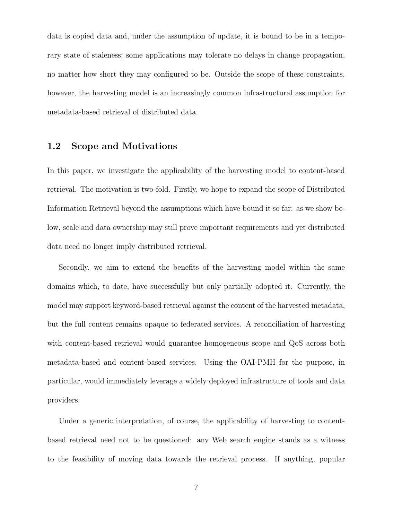data is copied data and, under the assumption of update, it is bound to be in a temporary state of staleness; some applications may tolerate no delays in change propagation, no matter how short they may configured to be. Outside the scope of these constraints, however, the harvesting model is an increasingly common infrastructural assumption for metadata-based retrieval of distributed data.

#### **1.2 Scope and Motivations**

In this paper, we investigate the applicability of the harvesting model to content-based retrieval. The motivation is two-fold. Firstly, we hope to expand the scope of Distributed Information Retrieval beyond the assumptions which have bound it so far: as we show below, scale and data ownership may still prove important requirements and yet distributed data need no longer imply distributed retrieval.

Secondly, we aim to extend the benefits of the harvesting model within the same domains which, to date, have successfully but only partially adopted it. Currently, the model may support keyword-based retrieval against the content of the harvested metadata, but the full content remains opaque to federated services. A reconciliation of harvesting with content-based retrieval would guarantee homogeneous scope and QoS across both metadata-based and content-based services. Using the OAI-PMH for the purpose, in particular, would immediately leverage a widely deployed infrastructure of tools and data providers.

Under a generic interpretation, of course, the applicability of harvesting to contentbased retrieval need not to be questioned: any Web search engine stands as a witness to the feasibility of moving data towards the retrieval process. If anything, popular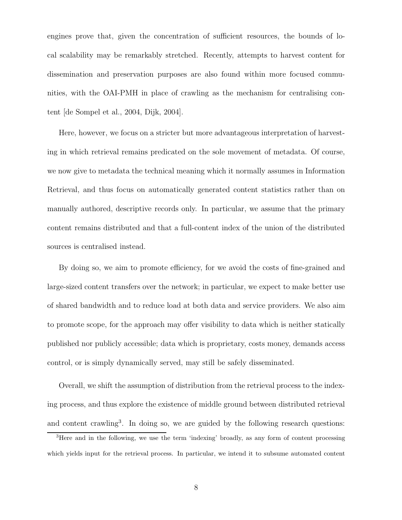engines prove that, given the concentration of sufficient resources, the bounds of local scalability may be remarkably stretched. Recently, attempts to harvest content for dissemination and preservation purposes are also found within more focused communities, with the OAI-PMH in place of crawling as the mechanism for centralising content [de Sompel et al., 2004, Dijk, 2004].

Here, however, we focus on a stricter but more advantageous interpretation of harvesting in which retrieval remains predicated on the sole movement of metadata. Of course, we now give to metadata the technical meaning which it normally assumes in Information Retrieval, and thus focus on automatically generated content statistics rather than on manually authored, descriptive records only. In particular, we assume that the primary content remains distributed and that a full-content index of the union of the distributed sources is centralised instead.

By doing so, we aim to promote efficiency, for we avoid the costs of fine-grained and large-sized content transfers over the network; in particular, we expect to make better use of shared bandwidth and to reduce load at both data and service providers. We also aim to promote scope, for the approach may offer visibility to data which is neither statically published nor publicly accessible; data which is proprietary, costs money, demands access control, or is simply dynamically served, may still be safely disseminated.

Overall, we shift the assumption of distribution from the retrieval process to the indexing process, and thus explore the existence of middle ground between distributed retrieval and content crawling<sup>3</sup>. In doing so, we are guided by the following research questions:

<sup>3</sup>Here and in the following, we use the term 'indexing' broadly, as any form of content processing which yields input for the retrieval process. In particular, we intend it to subsume automated content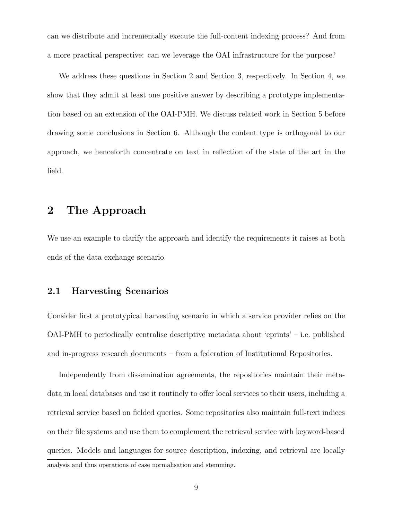can we distribute and incrementally execute the full-content indexing process? And from a more practical perspective: can we leverage the OAI infrastructure for the purpose?

We address these questions in Section 2 and Section 3, respectively. In Section 4, we show that they admit at least one positive answer by describing a prototype implementation based on an extension of the OAI-PMH. We discuss related work in Section 5 before drawing some conclusions in Section 6. Although the content type is orthogonal to our approach, we henceforth concentrate on text in reflection of the state of the art in the field.

# **2 The Approach**

We use an example to clarify the approach and identify the requirements it raises at both ends of the data exchange scenario.

#### **2.1 Harvesting Scenarios**

Consider first a prototypical harvesting scenario in which a service provider relies on the OAI-PMH to periodically centralise descriptive metadata about 'eprints' – i.e. published and in-progress research documents – from a federation of Institutional Repositories.

Independently from dissemination agreements, the repositories maintain their metadata in local databases and use it routinely to offer local services to their users, including a retrieval service based on fielded queries. Some repositories also maintain full-text indices on their file systems and use them to complement the retrieval service with keyword-based queries. Models and languages for source description, indexing, and retrieval are locally analysis and thus operations of case normalisation and stemming.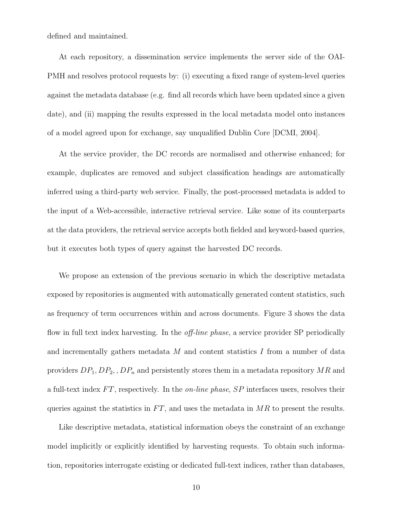defined and maintained.

At each repository, a dissemination service implements the server side of the OAI-PMH and resolves protocol requests by: (i) executing a fixed range of system-level queries against the metadata database (e.g. find all records which have been updated since a given date), and (ii) mapping the results expressed in the local metadata model onto instances of a model agreed upon for exchange, say unqualified Dublin Core [DCMI, 2004].

At the service provider, the DC records are normalised and otherwise enhanced; for example, duplicates are removed and subject classification headings are automatically inferred using a third-party web service. Finally, the post-processed metadata is added to the input of a Web-accessible, interactive retrieval service. Like some of its counterparts at the data providers, the retrieval service accepts both fielded and keyword-based queries, but it executes both types of query against the harvested DC records.

We propose an extension of the previous scenario in which the descriptive metadata exposed by repositories is augmented with automatically generated content statistics, such as frequency of term occurrences within and across documents. Figure 3 shows the data flow in full text index harvesting. In the *off-line phase*, a service provider SP periodically and incrementally gathers metadata *M* and content statistics *I* from a number of data providers *DP*1*, DP*2*, , DP<sup>n</sup>* and persistently stores them in a metadata repository *MR* and a full-text index *F T*, respectively. In the on-line phase, *SP* interfaces users, resolves their queries against the statistics in FT, and uses the metadata in MR to present the results.

Like descriptive metadata, statistical information obeys the constraint of an exchange model implicitly or explicitly identified by harvesting requests. To obtain such information, repositories interrogate existing or dedicated full-text indices, rather than databases,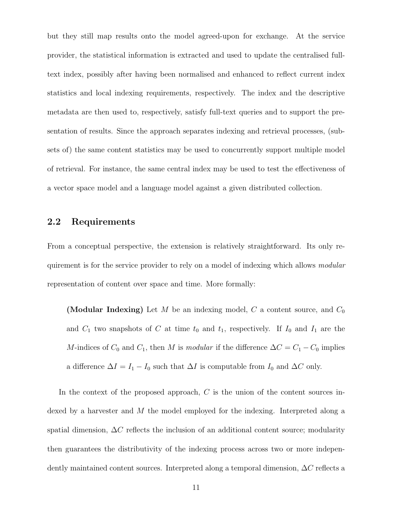but they still map results onto the model agreed-upon for exchange. At the service provider, the statistical information is extracted and used to update the centralised fulltext index, possibly after having been normalised and enhanced to reflect current index statistics and local indexing requirements, respectively. The index and the descriptive metadata are then used to, respectively, satisfy full-text queries and to support the presentation of results. Since the approach separates indexing and retrieval processes, (subsets of) the same content statistics may be used to concurrently support multiple model of retrieval. For instance, the same central index may be used to test the effectiveness of a vector space model and a language model against a given distributed collection.

## **2.2 Requirements**

From a conceptual perspective, the extension is relatively straightforward. Its only requirement is for the service provider to rely on a model of indexing which allows modular representation of content over space and time. More formally:

**(Modular Indexing)** Let *M* be an indexing model, *C* a content source, and *C*<sup>0</sup> and  $C_1$  two snapshots of  $C$  at time  $t_0$  and  $t_1$ , respectively. If  $I_0$  and  $I_1$  are the *M*-indices of  $C_0$  and  $C_1$ , then *M* is *modular* if the difference  $\Delta C = C_1 - C_0$  implies a difference  $\Delta I = I_1 - I_0$  such that  $\Delta I$  is computable from  $I_0$  and  $\Delta C$  only.

In the context of the proposed approach, *C* is the union of the content sources indexed by a harvester and *M* the model employed for the indexing. Interpreted along a spatial dimension, ∆*C* reflects the inclusion of an additional content source; modularity then guarantees the distributivity of the indexing process across two or more independently maintained content sources. Interpreted along a temporal dimension, ∆*C* reflects a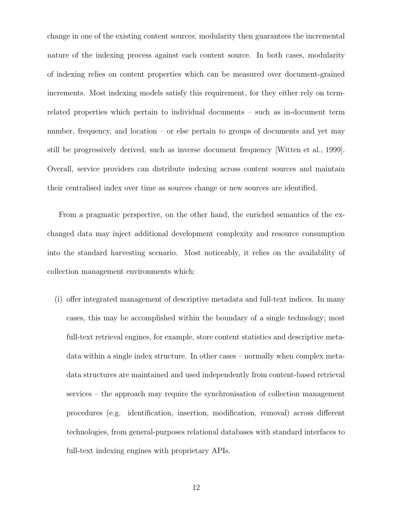change in one of the existing content sources; modularity then guarantees the incremental nature of the indexing process against each content source. In both cases, modularity of indexing relies on content properties which can be measured over document-grained increments. Most indexing models satisfy this requirement, for they either rely on termrelated properties which pertain to individual documents – such as in-document term number, frequency, and location – or else pertain to groups of documents and yet may still be progressively derived, such as inverse document frequency [Witten et al., 1999]. Overall, service providers can distribute indexing across content sources and maintain their centralised index over time as sources change or new sources are identified.

From a pragmatic perspective, on the other hand, the enriched semantics of the exchanged data may inject additional development complexity and resource consumption into the standard harvesting scenario. Most noticeably, it relies on the availability of collection management environments which:

(i) offer integrated management of descriptive metadata and full-text indices. In many cases, this may be accomplished within the boundary of a single technology; most full-text retrieval engines, for example, store content statistics and descriptive metadata within a single index structure. In other cases – normally when complex metadata structures are maintained and used independently from content-based retrieval services – the approach may require the synchronisation of collection management procedures (e.g. identification, insertion, modification, removal) across different technologies, from general-purposes relational databases with standard interfaces to full-text indexing engines with proprietary APIs.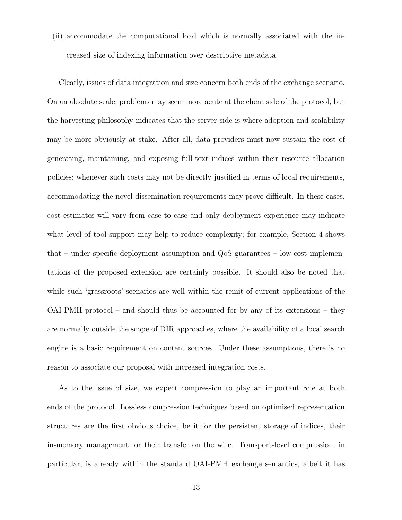(ii) accommodate the computational load which is normally associated with the increased size of indexing information over descriptive metadata.

Clearly, issues of data integration and size concern both ends of the exchange scenario. On an absolute scale, problems may seem more acute at the client side of the protocol, but the harvesting philosophy indicates that the server side is where adoption and scalability may be more obviously at stake. After all, data providers must now sustain the cost of generating, maintaining, and exposing full-text indices within their resource allocation policies; whenever such costs may not be directly justified in terms of local requirements, accommodating the novel dissemination requirements may prove difficult. In these cases, cost estimates will vary from case to case and only deployment experience may indicate what level of tool support may help to reduce complexity; for example, Section 4 shows that – under specific deployment assumption and QoS guarantees – low-cost implementations of the proposed extension are certainly possible. It should also be noted that while such 'grassroots' scenarios are well within the remit of current applications of the OAI-PMH protocol – and should thus be accounted for by any of its extensions – they are normally outside the scope of DIR approaches, where the availability of a local search engine is a basic requirement on content sources. Under these assumptions, there is no reason to associate our proposal with increased integration costs.

As to the issue of size, we expect compression to play an important role at both ends of the protocol. Lossless compression techniques based on optimised representation structures are the first obvious choice, be it for the persistent storage of indices, their in-memory management, or their transfer on the wire. Transport-level compression, in particular, is already within the standard OAI-PMH exchange semantics, albeit it has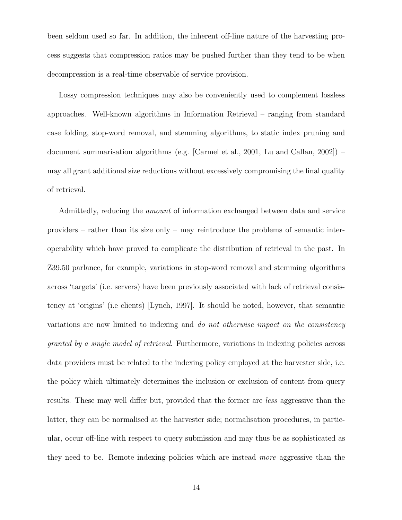been seldom used so far. In addition, the inherent off-line nature of the harvesting process suggests that compression ratios may be pushed further than they tend to be when decompression is a real-time observable of service provision.

Lossy compression techniques may also be conveniently used to complement lossless approaches. Well-known algorithms in Information Retrieval – ranging from standard case folding, stop-word removal, and stemming algorithms, to static index pruning and document summarisation algorithms (e.g. [Carmel et al., 2001, Lu and Callan, 2002]) – may all grant additional size reductions without excessively compromising the final quality of retrieval.

Admittedly, reducing the amount of information exchanged between data and service providers – rather than its size only – may reintroduce the problems of semantic interoperability which have proved to complicate the distribution of retrieval in the past. In Z39.50 parlance, for example, variations in stop-word removal and stemming algorithms across 'targets' (i.e. servers) have been previously associated with lack of retrieval consistency at 'origins' (i.e clients) [Lynch, 1997]. It should be noted, however, that semantic variations are now limited to indexing and do not otherwise impact on the consistency granted by a single model of retrieval. Furthermore, variations in indexing policies across data providers must be related to the indexing policy employed at the harvester side, i.e. the policy which ultimately determines the inclusion or exclusion of content from query results. These may well differ but, provided that the former are less aggressive than the latter, they can be normalised at the harvester side; normalisation procedures, in particular, occur off-line with respect to query submission and may thus be as sophisticated as they need to be. Remote indexing policies which are instead more aggressive than the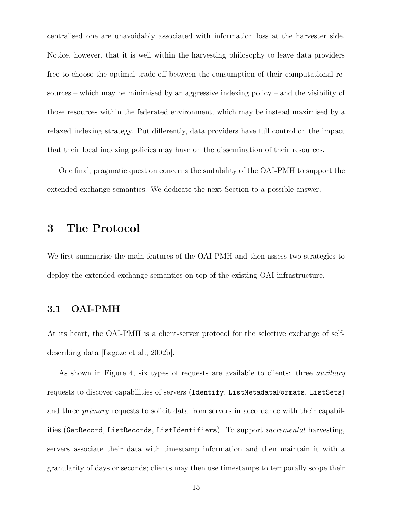centralised one are unavoidably associated with information loss at the harvester side. Notice, however, that it is well within the harvesting philosophy to leave data providers free to choose the optimal trade-off between the consumption of their computational resources – which may be minimised by an aggressive indexing policy – and the visibility of those resources within the federated environment, which may be instead maximised by a relaxed indexing strategy. Put differently, data providers have full control on the impact that their local indexing policies may have on the dissemination of their resources.

One final, pragmatic question concerns the suitability of the OAI-PMH to support the extended exchange semantics. We dedicate the next Section to a possible answer.

# **3 The Protocol**

We first summarise the main features of the OAI-PMH and then assess two strategies to deploy the extended exchange semantics on top of the existing OAI infrastructure.

## **3.1 OAI-PMH**

At its heart, the OAI-PMH is a client-server protocol for the selective exchange of selfdescribing data [Lagoze et al., 2002b].

As shown in Figure 4, six types of requests are available to clients: three auxiliary requests to discover capabilities of servers (Identify, ListMetadataFormats, ListSets) and three primary requests to solicit data from servers in accordance with their capabilities (GetRecord, ListRecords, ListIdentifiers). To support *incremental* harvesting, servers associate their data with timestamp information and then maintain it with a granularity of days or seconds; clients may then use timestamps to temporally scope their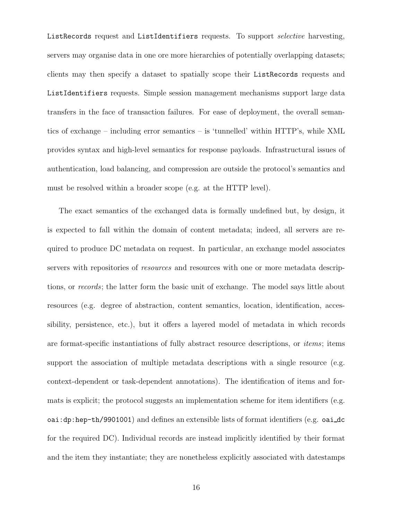ListRecords request and ListIdentifiers requests. To support *selective* harvesting, servers may organise data in one ore more hierarchies of potentially overlapping datasets; clients may then specify a dataset to spatially scope their ListRecords requests and ListIdentifiers requests. Simple session management mechanisms support large data transfers in the face of transaction failures. For ease of deployment, the overall semantics of exchange – including error semantics – is 'tunnelled' within HTTP's, while XML provides syntax and high-level semantics for response payloads. Infrastructural issues of authentication, load balancing, and compression are outside the protocol's semantics and must be resolved within a broader scope (e.g. at the HTTP level).

The exact semantics of the exchanged data is formally undefined but, by design, it is expected to fall within the domain of content metadata; indeed, all servers are required to produce DC metadata on request. In particular, an exchange model associates servers with repositories of *resources* and resources with one or more metadata descriptions, or records; the latter form the basic unit of exchange. The model says little about resources (e.g. degree of abstraction, content semantics, location, identification, accessibility, persistence, etc.), but it offers a layered model of metadata in which records are format-specific instantiations of fully abstract resource descriptions, or items; items support the association of multiple metadata descriptions with a single resource (e.g. context-dependent or task-dependent annotations). The identification of items and formats is explicit; the protocol suggests an implementation scheme for item identifiers (e.g. oai:dp:hep-th/9901001) and defines an extensible lists of format identifiers (e.g. oai dc for the required DC). Individual records are instead implicitly identified by their format and the item they instantiate; they are nonetheless explicitly associated with datestamps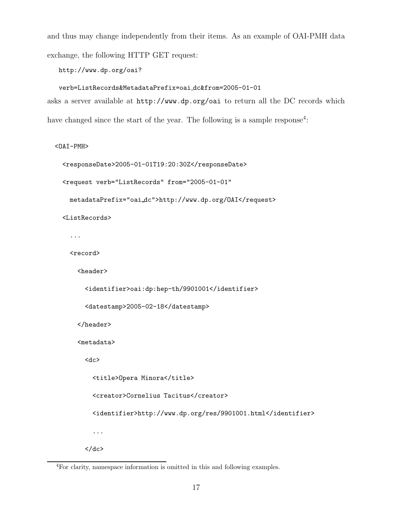and thus may change independently from their items. As an example of OAI-PMH data exchange, the following HTTP GET request:

http://www.dp.org/oai?

```
verb=ListRecords&MetadataPrefix=oai dc&from=2005-01-01
asks a server available at http://www.dp.org/oai to return all the DC records which
have changed since the start of the year. The following is a sample response<sup>4</sup>:
```
<OAI-PMH>

```
<responseDate>2005-01-01T19:20:30Z</responseDate>
```

```
<request verb="ListRecords" from="2005-01-01"
```
metadataPrefix="oai dc">http://www.dp.org/OAI</request>

<ListRecords>

...

<record>

<header>

```
<identifier>oai:dp:hep-th/9901001</identifier>
```

```
<datestamp>2005-02-18</datestamp>
```
</header>

<metadata>

<dc>

```
<title>Opera Minora</title>
```
<creator>Cornelius Tacitus</creator>

<identifier>http://www.dp.org/res/9901001.html</identifier>

...  $\langle$  dc>

<sup>4</sup>For clarity, namespace information is omitted in this and following examples.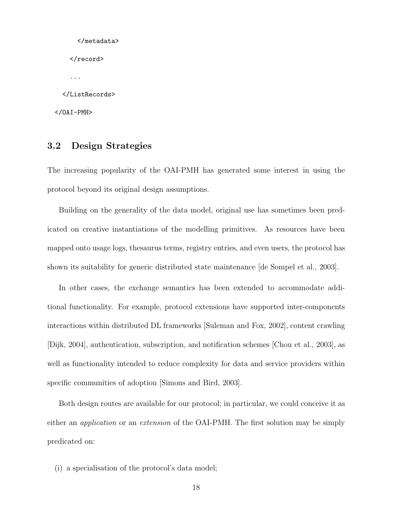```
</metadata>
    \langlerecord>
    ...
  </ListRecords>
</OAI-PMH>
```
## **3.2 Design Strategies**

The increasing popularity of the OAI-PMH has generated some interest in using the protocol beyond its original design assumptions.

Building on the generality of the data model, original use has sometimes been predicated on creative instantiations of the modelling primitives. As resources have been mapped onto usage logs, thesaurus terms, registry entries, and even users, the protocol has shown its suitability for generic distributed state maintenance [de Sompel et al., 2003].

In other cases, the exchange semantics has been extended to accommodate additional functionality. For example, protocol extensions have supported inter-components interactions within distributed DL frameworks [Suleman and Fox, 2002], content crawling [Dijk, 2004], authentication, subscription, and notification schemes [Chou et al., 2003], as well as functionality intended to reduce complexity for data and service providers within specific communities of adoption [Simons and Bird, 2003].

Both design routes are available for our protocol; in particular, we could conceive it as either an *application* or an *extension* of the OAI-PMH. The first solution may be simply predicated on:

(i) a specialisation of the protocol's data model;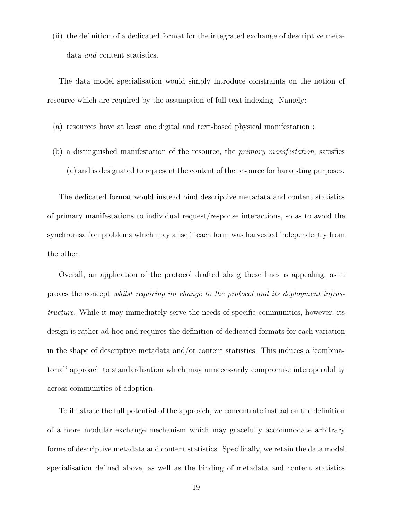(ii) the definition of a dedicated format for the integrated exchange of descriptive metadata and content statistics.

The data model specialisation would simply introduce constraints on the notion of resource which are required by the assumption of full-text indexing. Namely:

- (a) resources have at least one digital and text-based physical manifestation ;
- (b) a distinguished manifestation of the resource, the primary manifestation, satisfies (a) and is designated to represent the content of the resource for harvesting purposes.

The dedicated format would instead bind descriptive metadata and content statistics of primary manifestations to individual request/response interactions, so as to avoid the synchronisation problems which may arise if each form was harvested independently from the other.

Overall, an application of the protocol drafted along these lines is appealing, as it proves the concept whilst requiring no change to the protocol and its deployment infrastructure. While it may immediately serve the needs of specific communities, however, its design is rather ad-hoc and requires the definition of dedicated formats for each variation in the shape of descriptive metadata and/or content statistics. This induces a 'combinatorial' approach to standardisation which may unnecessarily compromise interoperability across communities of adoption.

To illustrate the full potential of the approach, we concentrate instead on the definition of a more modular exchange mechanism which may gracefully accommodate arbitrary forms of descriptive metadata and content statistics. Specifically, we retain the data model specialisation defined above, as well as the binding of metadata and content statistics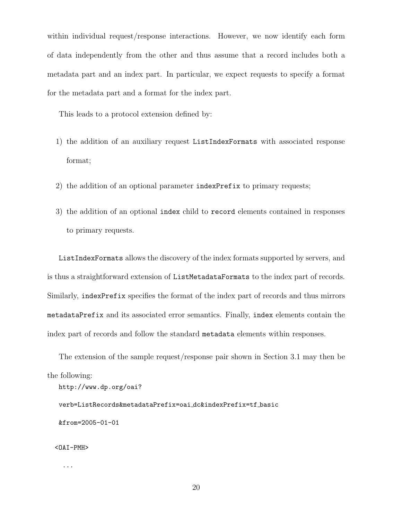within individual request/response interactions. However, we now identify each form of data independently from the other and thus assume that a record includes both a metadata part and an index part. In particular, we expect requests to specify a format for the metadata part and a format for the index part.

This leads to a protocol extension defined by:

- 1) the addition of an auxiliary request ListIndexFormats with associated response format;
- 2) the addition of an optional parameter indexPrefix to primary requests;
- 3) the addition of an optional index child to record elements contained in responses to primary requests.

ListIndexFormats allows the discovery of the index formats supported by servers, and is thus a straightforward extension of ListMetadataFormats to the index part of records. Similarly, indexPrefix specifies the format of the index part of records and thus mirrors metadataPrefix and its associated error semantics. Finally, index elements contain the index part of records and follow the standard metadata elements within responses.

The extension of the sample request/response pair shown in Section 3.1 may then be the following:

```
http://www.dp.org/oai?
```
verb=ListRecords&metadataPrefix=oai dc&indexPrefix=tf basic &from=2005-01-01

<OAI-PMH>

...

20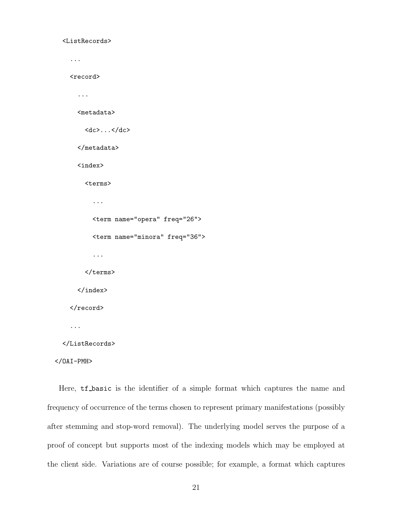```
<ListRecords>
```

```
...
  <record>
    ...
    <metadata>
      dc>...<dc></metadata>
    <index>
      <terms>
        ...
        <term name="opera" freq="26">
        <term name="minora" freq="36">
        ...
      </terms>
    </index>
  </record>
  ...
</ListRecords>
```

```
</OAI-PMH>
```
Here, **tf\_basic** is the identifier of a simple format which captures the name and frequency of occurrence of the terms chosen to represent primary manifestations (possibly after stemming and stop-word removal). The underlying model serves the purpose of a proof of concept but supports most of the indexing models which may be employed at the client side. Variations are of course possible; for example, a format which captures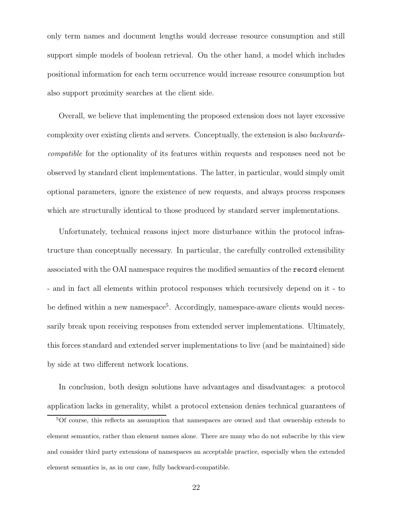only term names and document lengths would decrease resource consumption and still support simple models of boolean retrieval. On the other hand, a model which includes positional information for each term occurrence would increase resource consumption but also support proximity searches at the client side.

Overall, we believe that implementing the proposed extension does not layer excessive complexity over existing clients and servers. Conceptually, the extension is also backwardscompatible for the optionality of its features within requests and responses need not be observed by standard client implementations. The latter, in particular, would simply omit optional parameters, ignore the existence of new requests, and always process responses which are structurally identical to those produced by standard server implementations.

Unfortunately, technical reasons inject more disturbance within the protocol infrastructure than conceptually necessary. In particular, the carefully controlled extensibility associated with the OAI namespace requires the modified semantics of the record element - and in fact all elements within protocol responses which recursively depend on it - to be defined within a new namespace<sup>5</sup>. Accordingly, namespace-aware clients would necessarily break upon receiving responses from extended server implementations. Ultimately, this forces standard and extended server implementations to live (and be maintained) side by side at two different network locations.

In conclusion, both design solutions have advantages and disadvantages: a protocol application lacks in generality, whilst a protocol extension denies technical guarantees of

<sup>5</sup>Of course, this reflects an assumption that namespaces are owned and that ownership extends to element semantics, rather than element names alone. There are many who do not subscribe by this view and consider third party extensions of namespaces an acceptable practice, especially when the extended element semantics is, as in our case, fully backward-compatible.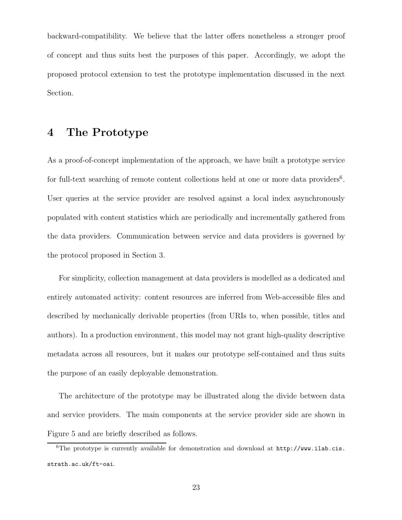backward-compatibility. We believe that the latter offers nonetheless a stronger proof of concept and thus suits best the purposes of this paper. Accordingly, we adopt the proposed protocol extension to test the prototype implementation discussed in the next Section.

# **4 The Prototype**

As a proof-of-concept implementation of the approach, we have built a prototype service for full-text searching of remote content collections held at one or more data providers<sup>6</sup>. User queries at the service provider are resolved against a local index asynchronously populated with content statistics which are periodically and incrementally gathered from the data providers. Communication between service and data providers is governed by the protocol proposed in Section 3.

For simplicity, collection management at data providers is modelled as a dedicated and entirely automated activity: content resources are inferred from Web-accessible files and described by mechanically derivable properties (from URIs to, when possible, titles and authors). In a production environment, this model may not grant high-quality descriptive metadata across all resources, but it makes our prototype self-contained and thus suits the purpose of an easily deployable demonstration.

The architecture of the prototype may be illustrated along the divide between data and service providers. The main components at the service provider side are shown in Figure 5 and are briefly described as follows.

 $6$ The prototype is currently available for demonstration and download at  $http://www.ilab.cis.$ strath.ac.uk/ft-oai.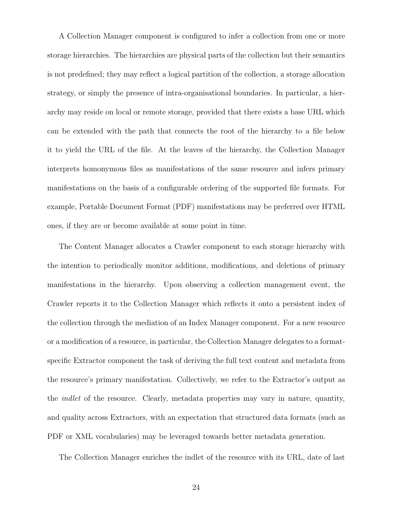A Collection Manager component is configured to infer a collection from one or more storage hierarchies. The hierarchies are physical parts of the collection but their semantics is not predefined; they may reflect a logical partition of the collection, a storage allocation strategy, or simply the presence of intra-organisational boundaries. In particular, a hierarchy may reside on local or remote storage, provided that there exists a base URL which can be extended with the path that connects the root of the hierarchy to a file below it to yield the URL of the file. At the leaves of the hierarchy, the Collection Manager interprets homonymous files as manifestations of the same resource and infers primary manifestations on the basis of a configurable ordering of the supported file formats. For example, Portable Document Format (PDF) manifestations may be preferred over HTML ones, if they are or become available at some point in time.

The Content Manager allocates a Crawler component to each storage hierarchy with the intention to periodically monitor additions, modifications, and deletions of primary manifestations in the hierarchy. Upon observing a collection management event, the Crawler reports it to the Collection Manager which reflects it onto a persistent index of the collection through the mediation of an Index Manager component. For a new resource or a modification of a resource, in particular, the Collection Manager delegates to a formatspecific Extractor component the task of deriving the full text content and metadata from the resource's primary manifestation. Collectively, we refer to the Extractor's output as the indlet of the resource. Clearly, metadata properties may vary in nature, quantity, and quality across Extractors, with an expectation that structured data formats (such as PDF or XML vocabularies) may be leveraged towards better metadata generation.

The Collection Manager enriches the indlet of the resource with its URL, date of last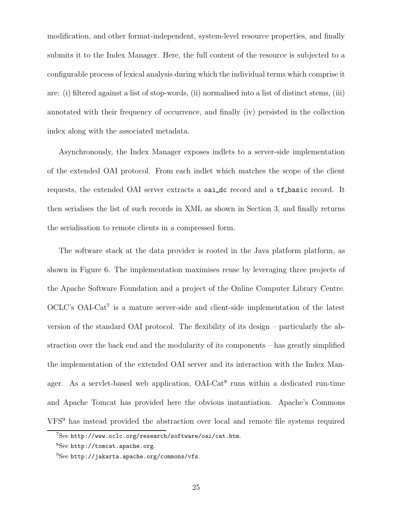modification, and other format-independent, system-level resource properties, and finally submits it to the Index Manager. Here, the full content of the resource is subjected to a configurable process of lexical analysis during which the individual terms which comprise it are: (i) filtered against a list of stop-words, (ii) normalised into a list of distinct stems, (iii) annotated with their frequency of occurrence, and finally (iv) persisted in the collection index along with the associated metadata.

Asynchronously, the Index Manager exposes indlets to a server-side implementation of the extended OAI protocol. From each indlet which matches the scope of the client requests, the extended OAI server extracts a oai\_dc record and a tf\_basic record. It then serialises the list of such records in XML as shown in Section 3, and finally returns the serialisation to remote clients in a compressed form.

The software stack at the data provider is rooted in the Java platform platform, as shown in Figure 6. The implementation maximises reuse by leveraging three projects of the Apache Software Foundation and a project of the Online Computer Library Centre. OCLC's OAI-Cat<sup>7</sup> is a mature server-side and client-side implementation of the latest version of the standard OAI protocol. The flexibility of its design – particularly the abstraction over the back end and the modularity of its components – has greatly simplified the implementation of the extended OAI server and its interaction with the Index Manager. As a servlet-based web application,  $OAI\text{-}Cat^8$  runs within a dedicated run-time and Apache Tomcat has provided here the obvious instantiation. Apache's Commons VFS<sup>9</sup> has instead provided the abstraction over local and remote file systems required

<sup>7</sup>See http://www.oclc.org/research/software/oai/cat.htm.

<sup>8</sup>See http://tomcat.apache.org.

 $^{9}$ See http://jakarta.apache.org/commons/vfs.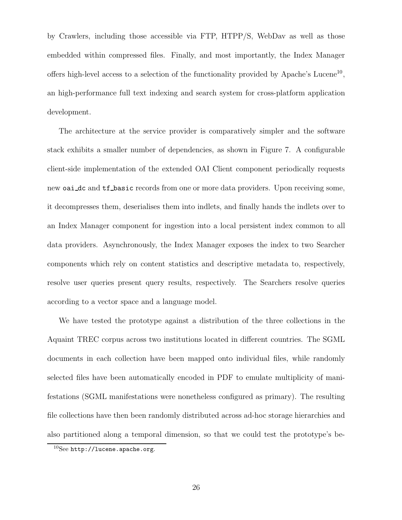by Crawlers, including those accessible via FTP, HTPP/S, WebDav as well as those embedded within compressed files. Finally, and most importantly, the Index Manager offers high-level access to a selection of the functionality provided by Apache's Lucene<sup>10</sup>, an high-performance full text indexing and search system for cross-platform application development.

The architecture at the service provider is comparatively simpler and the software stack exhibits a smaller number of dependencies, as shown in Figure 7. A configurable client-side implementation of the extended OAI Client component periodically requests new oai dc and tf basic records from one or more data providers. Upon receiving some, it decompresses them, deserialises them into indlets, and finally hands the indlets over to an Index Manager component for ingestion into a local persistent index common to all data providers. Asynchronously, the Index Manager exposes the index to two Searcher components which rely on content statistics and descriptive metadata to, respectively, resolve user queries present query results, respectively. The Searchers resolve queries according to a vector space and a language model.

We have tested the prototype against a distribution of the three collections in the Aquaint TREC corpus across two institutions located in different countries. The SGML documents in each collection have been mapped onto individual files, while randomly selected files have been automatically encoded in PDF to emulate multiplicity of manifestations (SGML manifestations were nonetheless configured as primary). The resulting file collections have then been randomly distributed across ad-hoc storage hierarchies and also partitioned along a temporal dimension, so that we could test the prototype's be-

 $10$ See http://lucene.apache.org.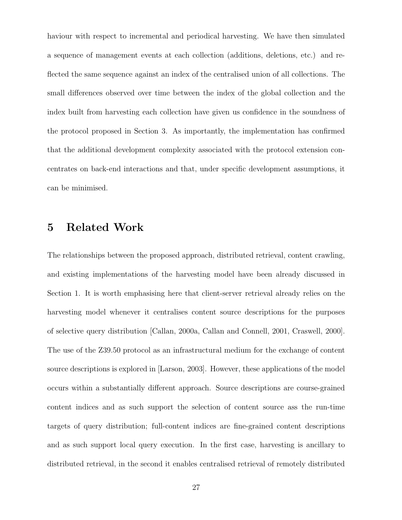haviour with respect to incremental and periodical harvesting. We have then simulated a sequence of management events at each collection (additions, deletions, etc.) and reflected the same sequence against an index of the centralised union of all collections. The small differences observed over time between the index of the global collection and the index built from harvesting each collection have given us confidence in the soundness of the protocol proposed in Section 3. As importantly, the implementation has confirmed that the additional development complexity associated with the protocol extension concentrates on back-end interactions and that, under specific development assumptions, it can be minimised.

# **5 Related Work**

The relationships between the proposed approach, distributed retrieval, content crawling, and existing implementations of the harvesting model have been already discussed in Section 1. It is worth emphasising here that client-server retrieval already relies on the harvesting model whenever it centralises content source descriptions for the purposes of selective query distribution [Callan, 2000a, Callan and Connell, 2001, Craswell, 2000]. The use of the Z39.50 protocol as an infrastructural medium for the exchange of content source descriptions is explored in [Larson, 2003]. However, these applications of the model occurs within a substantially different approach. Source descriptions are course-grained content indices and as such support the selection of content source ass the run-time targets of query distribution; full-content indices are fine-grained content descriptions and as such support local query execution. In the first case, harvesting is ancillary to distributed retrieval, in the second it enables centralised retrieval of remotely distributed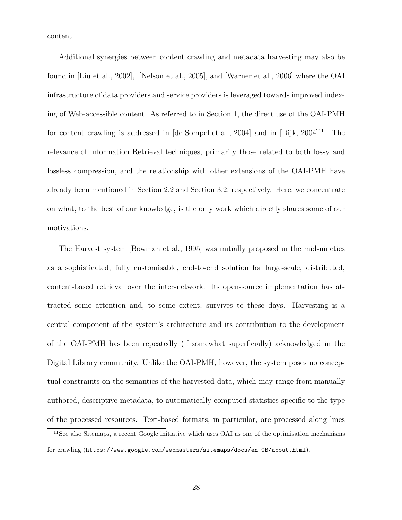content.

Additional synergies between content crawling and metadata harvesting may also be found in [Liu et al., 2002], [Nelson et al., 2005], and [Warner et al., 2006] where the OAI infrastructure of data providers and service providers is leveraged towards improved indexing of Web-accessible content. As referred to in Section 1, the direct use of the OAI-PMH for content crawling is addressed in  $[de \text{ Sompel et al.}, 2004]$  and in  $[Dijk, 2004]^{11}$ . The relevance of Information Retrieval techniques, primarily those related to both lossy and lossless compression, and the relationship with other extensions of the OAI-PMH have already been mentioned in Section 2.2 and Section 3.2, respectively. Here, we concentrate on what, to the best of our knowledge, is the only work which directly shares some of our motivations.

The Harvest system [Bowman et al., 1995] was initially proposed in the mid-nineties as a sophisticated, fully customisable, end-to-end solution for large-scale, distributed, content-based retrieval over the inter-network. Its open-source implementation has attracted some attention and, to some extent, survives to these days. Harvesting is a central component of the system's architecture and its contribution to the development of the OAI-PMH has been repeatedly (if somewhat superficially) acknowledged in the Digital Library community. Unlike the OAI-PMH, however, the system poses no conceptual constraints on the semantics of the harvested data, which may range from manually authored, descriptive metadata, to automatically computed statistics specific to the type of the processed resources. Text-based formats, in particular, are processed along lines

<sup>&</sup>lt;sup>11</sup>See also Sitemaps, a recent Google initiative which uses OAI as one of the optimisation mechanisms for crawling (https://www.google.com/webmasters/sitemaps/docs/en\_GB/about.html).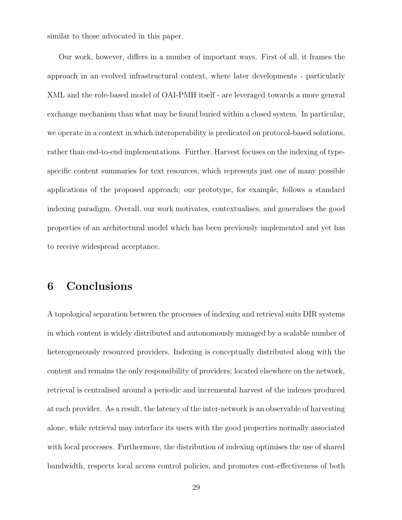similar to those advocated in this paper.

Our work, however, differs in a number of important ways. First of all, it frames the approach in an evolved infrastructural context, where later developments - particularly XML and the role-based model of OAI-PMH itself - are leveraged towards a more general exchange mechanism than what may be found buried within a closed system. In particular, we operate in a context in which interoperability is predicated on protocol-based solutions, rather than end-to-end implementations. Further, Harvest focuses on the indexing of typespecific content summaries for text resources, which represents just one of many possible applications of the proposed approach; our prototype, for example, follows a standard indexing paradigm. Overall, our work motivates, contextualises, and generalises the good properties of an architectural model which has been previously implemented and yet has to receive widespread acceptance.

# **6 Conclusions**

A topological separation between the processes of indexing and retrieval suits DIR systems in which content is widely distributed and autonomously managed by a scalable number of heterogeneously resourced providers. Indexing is conceptually distributed along with the content and remains the only responsibility of providers; located elsewhere on the network, retrieval is centralised around a periodic and incremental harvest of the indexes produced at each provider. As a result, the latency of the inter-network is an observable of harvesting alone, while retrieval may interface its users with the good properties normally associated with local processes. Furthermore, the distribution of indexing optimises the use of shared bandwidth, respects local access control policies, and promotes cost-effectiveness of both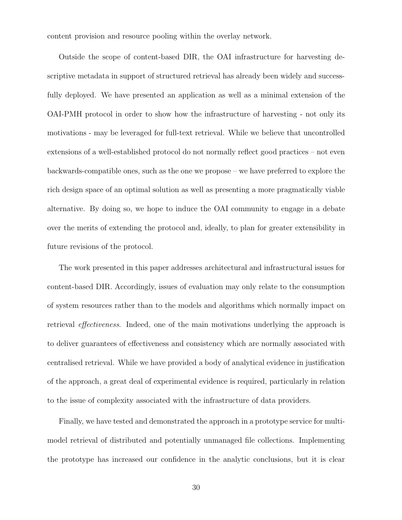content provision and resource pooling within the overlay network.

Outside the scope of content-based DIR, the OAI infrastructure for harvesting descriptive metadata in support of structured retrieval has already been widely and successfully deployed. We have presented an application as well as a minimal extension of the OAI-PMH protocol in order to show how the infrastructure of harvesting - not only its motivations - may be leveraged for full-text retrieval. While we believe that uncontrolled extensions of a well-established protocol do not normally reflect good practices – not even backwards-compatible ones, such as the one we propose – we have preferred to explore the rich design space of an optimal solution as well as presenting a more pragmatically viable alternative. By doing so, we hope to induce the OAI community to engage in a debate over the merits of extending the protocol and, ideally, to plan for greater extensibility in future revisions of the protocol.

The work presented in this paper addresses architectural and infrastructural issues for content-based DIR. Accordingly, issues of evaluation may only relate to the consumption of system resources rather than to the models and algorithms which normally impact on retrieval effectiveness. Indeed, one of the main motivations underlying the approach is to deliver guarantees of effectiveness and consistency which are normally associated with centralised retrieval. While we have provided a body of analytical evidence in justification of the approach, a great deal of experimental evidence is required, particularly in relation to the issue of complexity associated with the infrastructure of data providers.

Finally, we have tested and demonstrated the approach in a prototype service for multimodel retrieval of distributed and potentially unmanaged file collections. Implementing the prototype has increased our confidence in the analytic conclusions, but it is clear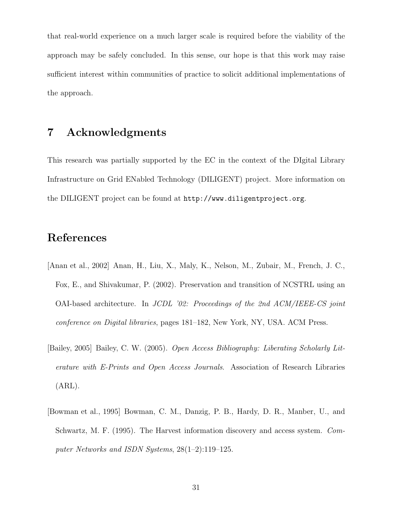that real-world experience on a much larger scale is required before the viability of the approach may be safely concluded. In this sense, our hope is that this work may raise sufficient interest within communities of practice to solicit additional implementations of the approach.

# **7 Acknowledgments**

This research was partially supported by the EC in the context of the DIgital Library Infrastructure on Grid ENabled Technology (DILIGENT) project. More information on the DILIGENT project can be found at http://www.diligentproject.org.

## **References**

- [Anan et al., 2002] Anan, H., Liu, X., Maly, K., Nelson, M., Zubair, M., French, J. C., Fox, E., and Shivakumar, P. (2002). Preservation and transition of NCSTRL using an OAI-based architecture. In JCDL '02: Proceedings of the 2nd ACM/IEEE-CS joint conference on Digital libraries, pages 181–182, New York, NY, USA. ACM Press.
- [Bailey, 2005] Bailey, C. W. (2005). Open Access Bibliography: Liberating Scholarly Literature with E-Prints and Open Access Journals. Association of Research Libraries (ARL).
- [Bowman et al., 1995] Bowman, C. M., Danzig, P. B., Hardy, D. R., Manber, U., and Schwartz, M. F. (1995). The Harvest information discovery and access system. Computer Networks and ISDN Systems, 28(1–2):119–125.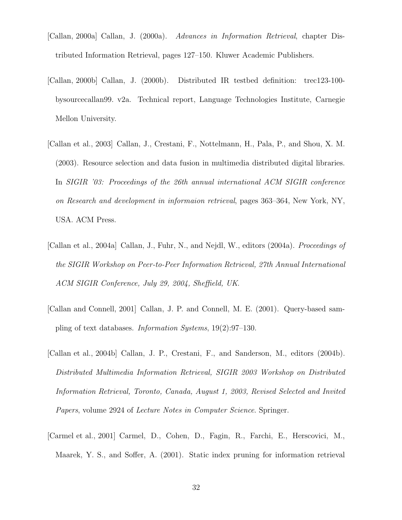- [Callan, 2000a] Callan, J. (2000a). Advances in Information Retrieval, chapter Distributed Information Retrieval, pages 127–150. Kluwer Academic Publishers.
- [Callan, 2000b] Callan, J. (2000b). Distributed IR testbed definition: trec123-100 bysourcecallan99. v2a. Technical report, Language Technologies Institute, Carnegie Mellon University.
- [Callan et al., 2003] Callan, J., Crestani, F., Nottelmann, H., Pala, P., and Shou, X. M. (2003). Resource selection and data fusion in multimedia distributed digital libraries. In SIGIR '03: Proceedings of the 26th annual international ACM SIGIR conference on Research and development in informaion retrieval, pages 363–364, New York, NY, USA. ACM Press.
- [Callan et al., 2004a] Callan, J., Fuhr, N., and Nejdl, W., editors (2004a). Proceedings of the SIGIR Workshop on Peer-to-Peer Information Retrieval, 27th Annual International ACM SIGIR Conference, July 29, 2004, Sheffield, UK.
- [Callan and Connell, 2001] Callan, J. P. and Connell, M. E. (2001). Query-based sampling of text databases. Information Systems, 19(2):97–130.
- [Callan et al., 2004b] Callan, J. P., Crestani, F., and Sanderson, M., editors (2004b). Distributed Multimedia Information Retrieval, SIGIR 2003 Workshop on Distributed Information Retrieval, Toronto, Canada, August 1, 2003, Revised Selected and Invited Papers, volume 2924 of Lecture Notes in Computer Science. Springer.
- [Carmel et al., 2001] Carmel, D., Cohen, D., Fagin, R., Farchi, E., Herscovici, M., Maarek, Y. S., and Soffer, A. (2001). Static index pruning for information retrieval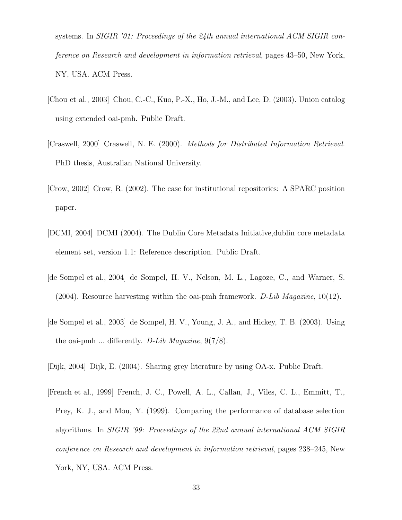systems. In SIGIR '01: Proceedings of the 24th annual international ACM SIGIR conference on Research and development in information retrieval, pages 43–50, New York, NY, USA. ACM Press.

- [Chou et al., 2003] Chou, C.-C., Kuo, P.-X., Ho, J.-M., and Lee, D. (2003). Union catalog using extended oai-pmh. Public Draft.
- [Craswell, 2000] Craswell, N. E. (2000). Methods for Distributed Information Retrieval. PhD thesis, Australian National University.
- [Crow, 2002] Crow, R. (2002). The case for institutional repositories: A SPARC position paper.
- [DCMI, 2004] DCMI (2004). The Dublin Core Metadata Initiative,dublin core metadata element set, version 1.1: Reference description. Public Draft.
- [de Sompel et al., 2004] de Sompel, H. V., Nelson, M. L., Lagoze, C., and Warner, S. (2004). Resource harvesting within the oai-pmh framework. D-Lib Magazine,  $10(12)$ .
- [de Sompel et al., 2003] de Sompel, H. V., Young, J. A., and Hickey, T. B. (2003). Using the oai-pmh ... differently. D-Lib Magazine,  $9(7/8)$ .
- [Dijk, 2004] Dijk, E. (2004). Sharing grey literature by using OA-x. Public Draft.
- [French et al., 1999] French, J. C., Powell, A. L., Callan, J., Viles, C. L., Emmitt, T., Prey, K. J., and Mou, Y. (1999). Comparing the performance of database selection algorithms. In SIGIR '99: Proceedings of the 22nd annual international ACM SIGIR conference on Research and development in information retrieval, pages 238–245, New York, NY, USA. ACM Press.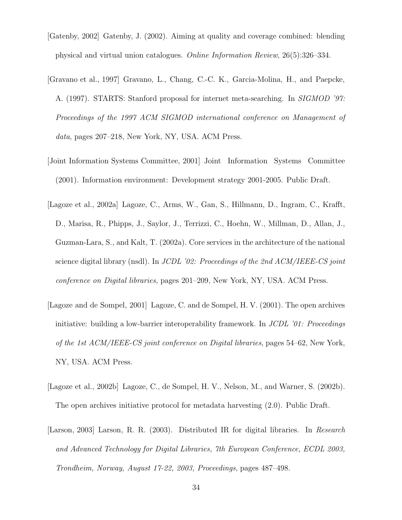- [Gatenby, 2002] Gatenby, J. (2002). Aiming at quality and coverage combined: blending physical and virtual union catalogues. Online Information Review, 26(5):326–334.
- [Gravano et al., 1997] Gravano, L., Chang, C.-C. K., Garcia-Molina, H., and Paepcke, A. (1997). STARTS: Stanford proposal for internet meta-searching. In SIGMOD '97: Proceedings of the 1997 ACM SIGMOD international conference on Management of data, pages 207–218, New York, NY, USA. ACM Press.
- [Joint Information Systems Committee, 2001] Joint Information Systems Committee (2001). Information environment: Development strategy 2001-2005. Public Draft.
- [Lagoze et al., 2002a] Lagoze, C., Arms, W., Gan, S., Hillmann, D., Ingram, C., Krafft, D., Marisa, R., Phipps, J., Saylor, J., Terrizzi, C., Hoehn, W., Millman, D., Allan, J., Guzman-Lara, S., and Kalt, T. (2002a). Core services in the architecture of the national science digital library (nsdl). In JCDL '02: Proceedings of the 2nd ACM/IEEE-CS joint conference on Digital libraries, pages 201–209, New York, NY, USA. ACM Press.
- [Lagoze and de Sompel, 2001] Lagoze, C. and de Sompel, H. V. (2001). The open archives initiative: building a low-barrier interoperability framework. In JCDL '01: Proceedings of the 1st ACM/IEEE-CS joint conference on Digital libraries, pages 54–62, New York, NY, USA. ACM Press.
- [Lagoze et al., 2002b] Lagoze, C., de Sompel, H. V., Nelson, M., and Warner, S. (2002b). The open archives initiative protocol for metadata harvesting (2.0). Public Draft.
- [Larson, 2003] Larson, R. R. (2003). Distributed IR for digital libraries. In Research and Advanced Technology for Digital Libraries, 7th European Conference, ECDL 2003, Trondheim, Norway, August 17-22, 2003, Proceedings, pages 487–498.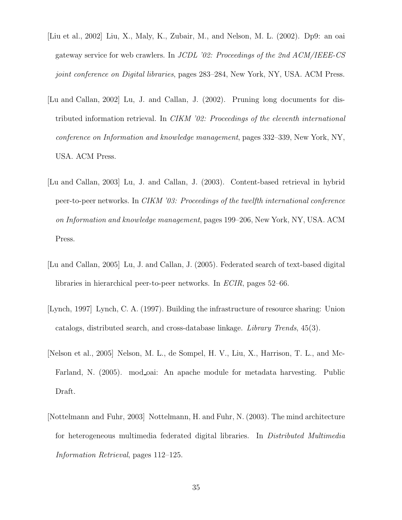- [Liu et al., 2002] Liu, X., Maly, K., Zubair, M., and Nelson, M. L. (2002). Dp9: an oai gateway service for web crawlers. In JCDL '02: Proceedings of the 2nd ACM/IEEE-CS joint conference on Digital libraries, pages 283–284, New York, NY, USA. ACM Press.
- [Lu and Callan, 2002] Lu, J. and Callan, J. (2002). Pruning long documents for distributed information retrieval. In CIKM '02: Proceedings of the eleventh international conference on Information and knowledge management, pages 332–339, New York, NY, USA. ACM Press.
- [Lu and Callan, 2003] Lu, J. and Callan, J. (2003). Content-based retrieval in hybrid peer-to-peer networks. In CIKM '03: Proceedings of the twelfth international conference on Information and knowledge management, pages 199–206, New York, NY, USA. ACM Press.
- [Lu and Callan, 2005] Lu, J. and Callan, J. (2005). Federated search of text-based digital libraries in hierarchical peer-to-peer networks. In ECIR, pages 52–66.
- [Lynch, 1997] Lynch, C. A. (1997). Building the infrastructure of resource sharing: Union catalogs, distributed search, and cross-database linkage. Library Trends, 45(3).
- [Nelson et al., 2005] Nelson, M. L., de Sompel, H. V., Liu, X., Harrison, T. L., and Mc-Farland, N. (2005). mod oai: An apache module for metadata harvesting. Public Draft.
- [Nottelmann and Fuhr, 2003] Nottelmann, H. and Fuhr, N. (2003). The mind architecture for heterogeneous multimedia federated digital libraries. In Distributed Multimedia Information Retrieval, pages 112–125.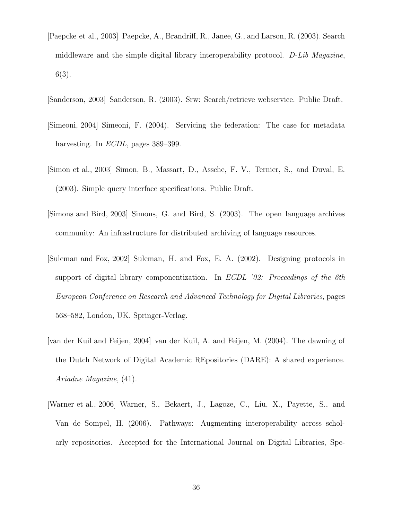- [Paepcke et al., 2003] Paepcke, A., Brandriff, R., Janee, G., and Larson, R. (2003). Search middleware and the simple digital library interoperability protocol. D-Lib Magazine, 6(3).
- [Sanderson, 2003] Sanderson, R. (2003). Srw: Search/retrieve webservice. Public Draft.
- [Simeoni, 2004] Simeoni, F. (2004). Servicing the federation: The case for metadata harvesting. In *ECDL*, pages 389–399.
- [Simon et al., 2003] Simon, B., Massart, D., Assche, F. V., Ternier, S., and Duval, E. (2003). Simple query interface specifications. Public Draft.
- [Simons and Bird, 2003] Simons, G. and Bird, S. (2003). The open language archives community: An infrastructure for distributed archiving of language resources.
- [Suleman and Fox, 2002] Suleman, H. and Fox, E. A. (2002). Designing protocols in support of digital library componentization. In ECDL '02: Proceedings of the 6th European Conference on Research and Advanced Technology for Digital Libraries, pages 568–582, London, UK. Springer-Verlag.
- [van der Kuil and Feijen, 2004] van der Kuil, A. and Feijen, M. (2004). The dawning of the Dutch Network of Digital Academic REpositories (DARE): A shared experience. Ariadne Magazine, (41).
- [Warner et al., 2006] Warner, S., Bekaert, J., Lagoze, C., Liu, X., Payette, S., and Van de Sompel, H. (2006). Pathways: Augmenting interoperability across scholarly repositories. Accepted for the International Journal on Digital Libraries, Spe-